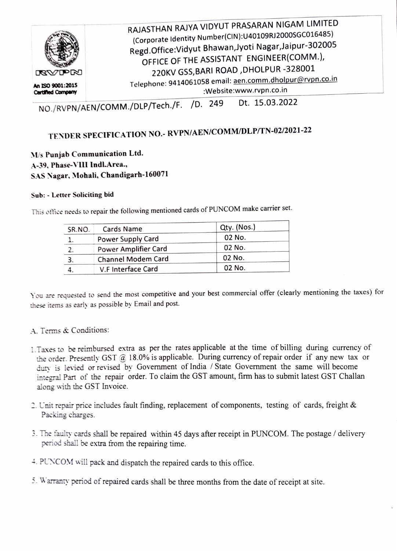

NO./RVPN/AEN/COMM./DLP/Tech./F. /D. 249 Dt. 15.03.2022

## TENDER SPECIFICATION NO.- RVPN/AEN/COMM/DLP/TN-02/2021-22

## *, us* **Punjab Communication Ltd . ...\-39, Phas~ \"Ill lndl.Area.,**   $SAS Nagar$ , Mohali, Chandigarh-160071

## **Sub:** · **Letter Soliciting bid**

This office needs to repair the following mentioned cards of PUNCOM make carrier set.

| SR.NO. | Cards Name           | Qty. (Nos.) |
|--------|----------------------|-------------|
|        | Power Supply Card    | 02 No.      |
|        | Power Amplifier Card | 02 No.      |
|        | Channel Modem Card   | 02 No.      |
|        | V.F Interface Card   | 02 No.      |

You are requested to send the most competitive and your best commercial offer (clearly mentioning the taxes) for these items as early as possible by Email and post.

## A. Terms & Conditions:

- 1. Taxes to be reimbursed extra as per the rates applicable at the time of billing during currency of the order. Presently GST @ 18.0% is applicable. During currency of repair order if any new tax or duty is levied or revised by Government of India / State Government the same will become integral Part of the repair order. To claim the GST amount, firm has to submit latest GST Challan along with the GST Invoice.
- 2. Unit repair price includes fault finding, replacement of components, testing of cards, freight  $\&$ Packing charges.
- 3 *The* faulty cards shall be repaired within 45 days after receipt in PUN COM. The postage / delivery period shall be extra from the repairing time.

4. PUNCOM will pack and dispatch the repaired cards to this office.

5. Warranty period of repaired cards shall be three months from the date of receipt at site.